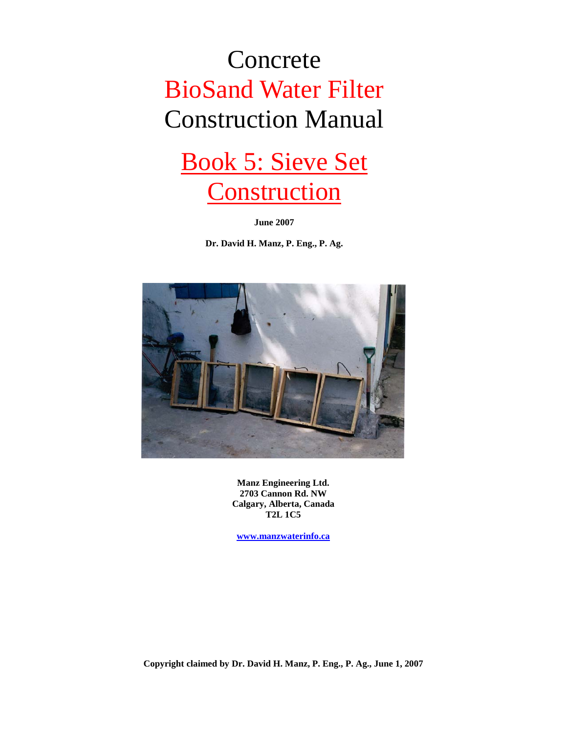## Concrete BioSand Water Filter Construction Manual

## Book 5: Sieve Set **Construction**

**June 2007**

**Dr. David H. Manz, P. Eng., P. Ag.**



**Manz Engineering Ltd. 2703 Cannon Rd. NW Calgary, Alberta, Canada T2L 1C5**

**[www.manzwaterinfo.ca](http://www.manzwaterinfo.ca/)**

**Copyright claimed by Dr. David H. Manz, P. Eng., P. Ag., June 1, 2007**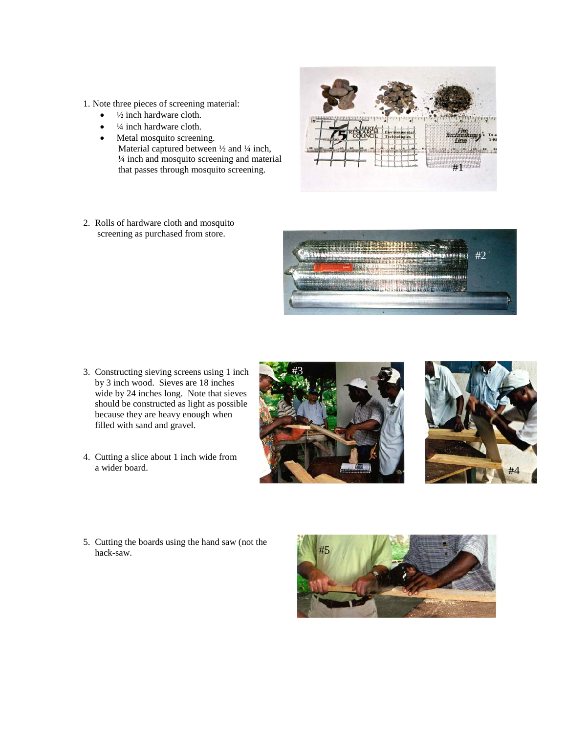- 1. Note three pieces of screening material:
	- $\bullet$   $\frac{1}{2}$  inch hardware cloth.
	- $\frac{1}{4}$  inch hardware cloth.
	- Metal mosquito screening. Material captured between  $\frac{1}{2}$  and  $\frac{1}{4}$  inch, ¼ inch and mosquito screening and material that passes through mosquito screening.
- 2. Rolls of hardware cloth and mosquito screening as purchased from store.

- 3. Constructing sieving screens using 1 inch by 3 inch wood. Sieves are 18 inches wide by 24 inches long. Note that sieves should be constructed as light as possible because they are heavy enough when filled with sand and gravel.
- 4. Cutting a slice about 1 inch wide from a wider board.
- 5. Cutting the boards using the hand saw (not the hack-saw.









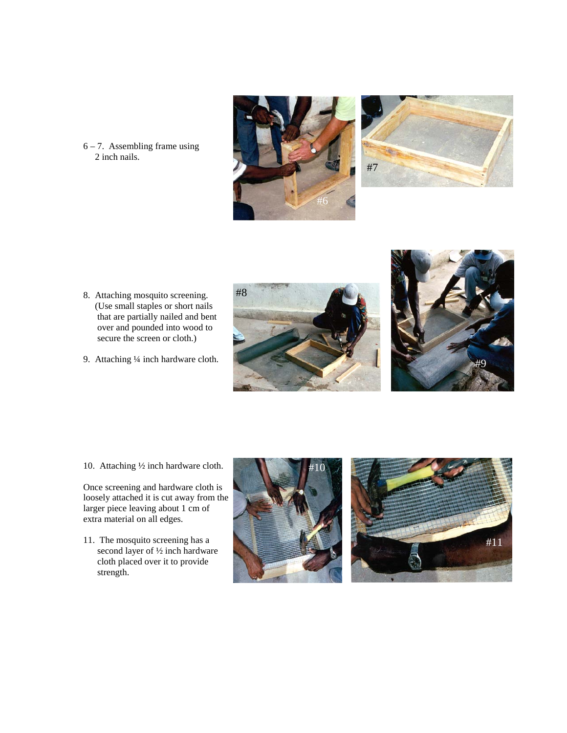



 $6 - 7$ . Assembling frame using 2 inch nails.

- 8. Attaching mosquito screening. (Use small staples or short nails that are partially nailed and bent over and pounded into wood to secure the screen or cloth.)
- 9. Attaching ¼ inch hardware cloth.





10. Attaching ½ inch hardware cloth.

Once screening and hardware cloth is loosely attached it is cut away from the larger piece leaving about 1 cm of extra material on all edges.

11. The mosquito screening has a second layer of ½ inch hardware cloth placed over it to provide strength.